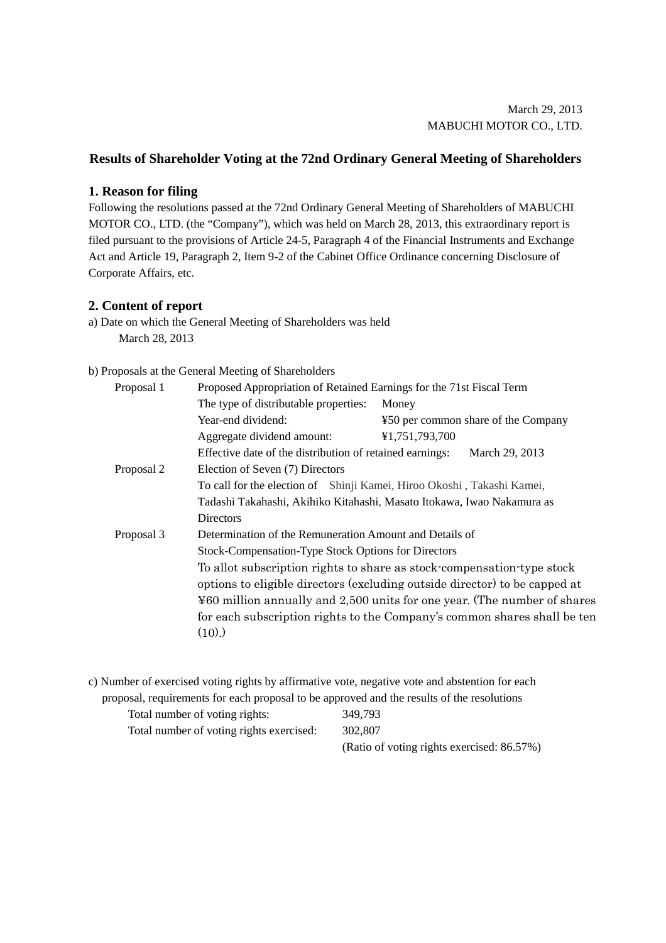## **Results of Shareholder Voting at the 72nd Ordinary General Meeting of Shareholders**

## **1. Reason for filing**

Following the resolutions passed at the 72nd Ordinary General Meeting of Shareholders of MABUCHI MOTOR CO., LTD. (the "Company"), which was held on March 28, 2013, this extraordinary report is filed pursuant to the provisions of Article 24-5, Paragraph 4 of the Financial Instruments and Exchange Act and Article 19, Paragraph 2, Item 9-2 of the Cabinet Office Ordinance concerning Disclosure of Corporate Affairs, etc.

## **2. Content of report**

a) Date on which the General Meeting of Shareholders was held March 28, 2013

## b) Proposals at the General Meeting of Shareholders

| Proposal 1 | Proposed Appropriation of Retained Earnings for the 71st Fiscal Term       |                                     |  |  |  |  |
|------------|----------------------------------------------------------------------------|-------------------------------------|--|--|--|--|
|            | The type of distributable properties:                                      | Money                               |  |  |  |  |
|            | Year-end dividend:                                                         | ¥50 per common share of the Company |  |  |  |  |
|            | Aggregate dividend amount:                                                 | ¥1,751,793,700                      |  |  |  |  |
|            | Effective date of the distribution of retained earnings:<br>March 29, 2013 |                                     |  |  |  |  |
| Proposal 2 | Election of Seven (7) Directors                                            |                                     |  |  |  |  |
|            | To call for the election of Shinji Kamei, Hiroo Okoshi, Takashi Kamei,     |                                     |  |  |  |  |
|            | Tadashi Takahashi, Akihiko Kitahashi, Masato Itokawa, Iwao Nakamura as     |                                     |  |  |  |  |
|            | <b>Directors</b>                                                           |                                     |  |  |  |  |
| Proposal 3 | Determination of the Remuneration Amount and Details of                    |                                     |  |  |  |  |
|            | Stock-Compensation-Type Stock Options for Directors                        |                                     |  |  |  |  |
|            | To allot subscription rights to share as stock-compensation-type stock     |                                     |  |  |  |  |
|            | options to eligible directors (excluding outside director) to be capped at |                                     |  |  |  |  |
|            | ¥60 million annually and 2,500 units for one year. (The number of shares   |                                     |  |  |  |  |
|            | for each subscription rights to the Company's common shares shall be ten   |                                     |  |  |  |  |
|            | $(10)$ .                                                                   |                                     |  |  |  |  |

c) Number of exercised voting rights by affirmative vote, negative vote and abstention for each proposal, requirements for each proposal to be approved and the results of the resolutions

| Total number of voting rights:           | 349.793                                    |
|------------------------------------------|--------------------------------------------|
| Total number of voting rights exercised: | 302,807                                    |
|                                          | (Ratio of voting rights exercised: 86.57%) |